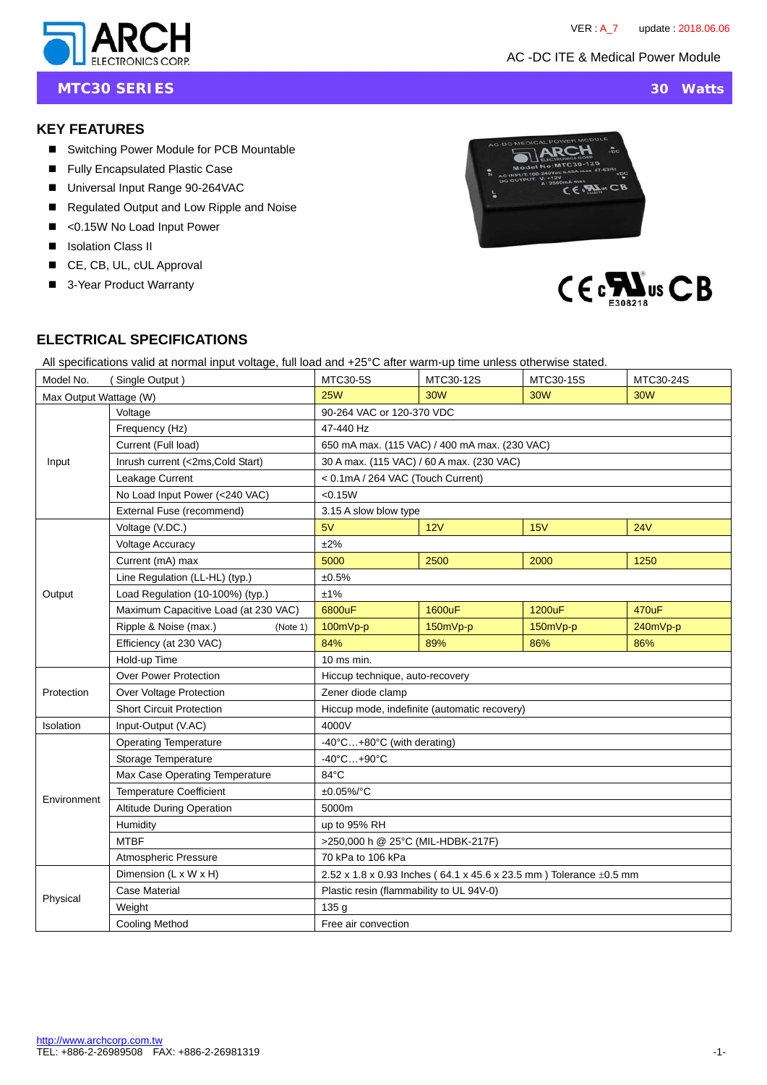AC -DC ITE & Medical Power Module



**MTC30 SERIES** 30 Watts

### **KEY FEATURES**

- Switching Power Module for PCB Mountable
- Fully Encapsulated Plastic Case
- Universal Input Range 90-264VAC
- Regulated Output and Low Ripple and Noise
- <0.15W No Load Input Power
- **I** Isolation Class II
- CE, CB, UL, cUL Approval
- 3-Year Product Warranty





## **ELECTRICAL SPECIFICATIONS**

All specifications valid at normal input voltage, full load and +25°C after warm-up time unless otherwise stated.

| Model No.              | (Single Output)                      | MTC30-5S                                                                | MTC30-12S  | MTC30-15S  | MTC30-24S  |  |
|------------------------|--------------------------------------|-------------------------------------------------------------------------|------------|------------|------------|--|
| Max Output Wattage (W) |                                      | <b>25W</b>                                                              | <b>30W</b> | <b>30W</b> | <b>30W</b> |  |
| Input                  | Voltage                              | 90-264 VAC or 120-370 VDC                                               |            |            |            |  |
|                        | Frequency (Hz)                       | 47-440 Hz                                                               |            |            |            |  |
|                        | Current (Full load)                  | 650 mA max. (115 VAC) / 400 mA max. (230 VAC)                           |            |            |            |  |
|                        | Inrush current (<2ms, Cold Start)    | 30 A max. (115 VAC) / 60 A max. (230 VAC)                               |            |            |            |  |
|                        | Leakage Current                      | < 0.1mA / 264 VAC (Touch Current)                                       |            |            |            |  |
|                        | No Load Input Power (<240 VAC)       | < 0.15W                                                                 |            |            |            |  |
|                        | External Fuse (recommend)            | 3.15 A slow blow type                                                   |            |            |            |  |
| Output                 | Voltage (V.DC.)                      | 5V                                                                      | 12V        | 15V        | 24V        |  |
|                        | <b>Voltage Accuracy</b>              | $±2\%$                                                                  |            |            |            |  |
|                        | Current (mA) max                     | 5000                                                                    | 2500       | 2000       | 1250       |  |
|                        | Line Regulation (LL-HL) (typ.)       | ±0.5%                                                                   |            |            |            |  |
|                        | Load Regulation (10-100%) (typ.)     | ±1%                                                                     |            |            |            |  |
|                        | Maximum Capacitive Load (at 230 VAC) | 6800uF                                                                  | 1600uF     | 1200uF     | 470uF      |  |
|                        | Ripple & Noise (max.)<br>(Note 1)    | 100mVp-p                                                                | 150mVp-p   | 150mVp-p   | 240mVp-p   |  |
|                        | Efficiency (at 230 VAC)              | 84%                                                                     | 89%        | 86%        | 86%        |  |
|                        | Hold-up Time                         | $10$ ms min.                                                            |            |            |            |  |
|                        | <b>Over Power Protection</b>         | Hiccup technique, auto-recovery                                         |            |            |            |  |
| Protection             | Over Voltage Protection              | Zener diode clamp                                                       |            |            |            |  |
|                        | <b>Short Circuit Protection</b>      | Hiccup mode, indefinite (automatic recovery)                            |            |            |            |  |
| Isolation              | Input-Output (V.AC)                  | 4000V                                                                   |            |            |            |  |
|                        | <b>Operating Temperature</b>         | $-40^{\circ}$ C $+80^{\circ}$ C (with derating)                         |            |            |            |  |
|                        | Storage Temperature                  | $-40^{\circ}$ C $+90^{\circ}$ C                                         |            |            |            |  |
| Environment            | Max Case Operating Temperature       | 84°C                                                                    |            |            |            |  |
|                        | <b>Temperature Coefficient</b>       | ±0.05%/°C                                                               |            |            |            |  |
|                        | <b>Altitude During Operation</b>     | 5000m                                                                   |            |            |            |  |
|                        | Humidity                             | up to 95% RH                                                            |            |            |            |  |
|                        | <b>MTBF</b>                          | >250,000 h @ 25°C (MIL-HDBK-217F)                                       |            |            |            |  |
|                        | Atmospheric Pressure                 | 70 kPa to 106 kPa                                                       |            |            |            |  |
| Physical               | Dimension (L x W x H)                | 2.52 x 1.8 x 0.93 Inches (64.1 x 45.6 x 23.5 mm) Tolerance $\pm$ 0.5 mm |            |            |            |  |
|                        | <b>Case Material</b>                 | Plastic resin (flammability to UL 94V-0)                                |            |            |            |  |
|                        | Weight                               | 135 g                                                                   |            |            |            |  |
|                        | <b>Cooling Method</b>                | Free air convection                                                     |            |            |            |  |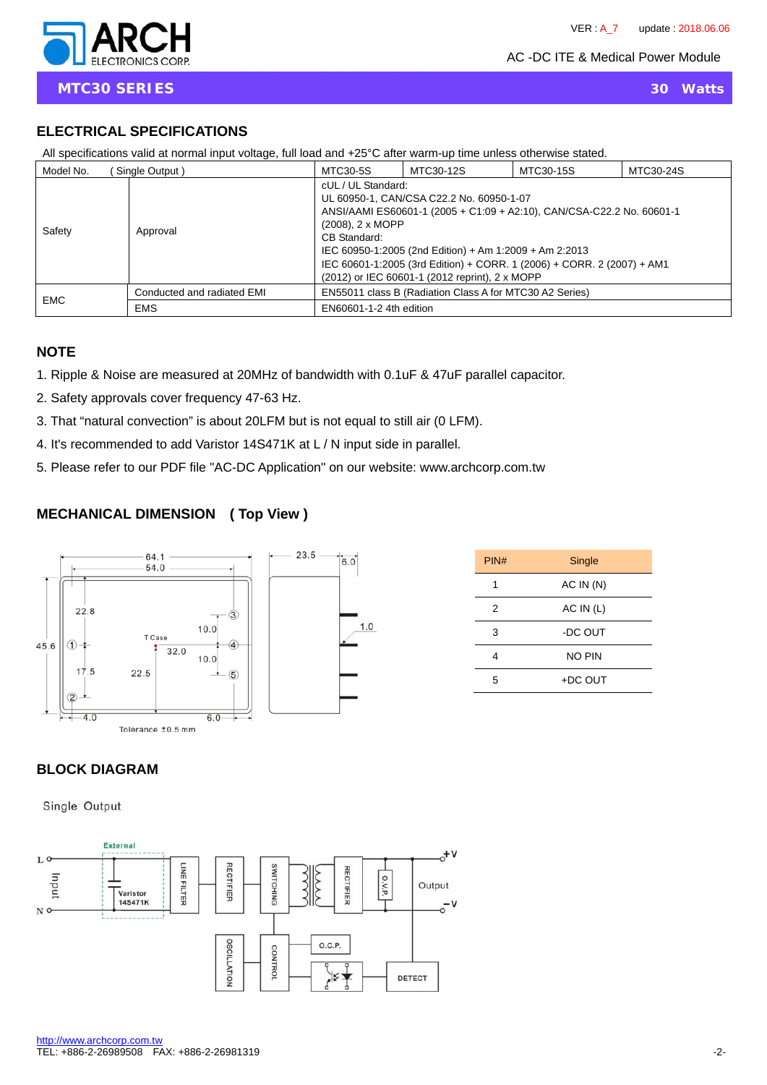AC -DC ITE & Medical Power Module

# **ELECTRICAL SPECIFICATIONS**

| $\mu$ in opponing introduced at Homman input voltage, run load and $\tau$ to b anon-warm up time unload other mode dialog. |                            |                                                           |                                                                                                                                                                                                                                                                                                         |           |           |  |  |
|----------------------------------------------------------------------------------------------------------------------------|----------------------------|-----------------------------------------------------------|---------------------------------------------------------------------------------------------------------------------------------------------------------------------------------------------------------------------------------------------------------------------------------------------------------|-----------|-----------|--|--|
| Model No.                                                                                                                  | Single Output)             | MTC30-5S                                                  | MTC30-12S                                                                                                                                                                                                                                                                                               | MTC30-15S | MTC30-24S |  |  |
| Safety<br>Approval                                                                                                         |                            | cUL / UL Standard:<br>$(2008)$ , 2 x MOPP<br>CB Standard: | UL 60950-1, CAN/CSA C22.2 No. 60950-1-07<br>ANSI/AAMI ES60601-1 (2005 + C1:09 + A2:10), CAN/CSA-C22.2 No. 60601-1<br>IEC 60950-1:2005 (2nd Edition) + Am 1:2009 + Am 2:2013<br>IEC 60601-1:2005 (3rd Edition) + CORR. 1 (2006) + CORR. 2 (2007) + AM1<br>(2012) or IEC 60601-1 (2012 reprint), 2 x MOPP |           |           |  |  |
| <b>EMC</b>                                                                                                                 | Conducted and radiated EMI | EN55011 class B (Radiation Class A for MTC30 A2 Series)   |                                                                                                                                                                                                                                                                                                         |           |           |  |  |
|                                                                                                                            | <b>EMS</b>                 | EN60601-1-2 4th edition                                   |                                                                                                                                                                                                                                                                                                         |           |           |  |  |

All specifications valid at normal input voltage, full load and +25°C after warm-up time unless otherwise stated.

## **NOTE**

l

- 1. Ripple & Noise are measured at 20MHz of bandwidth with 0.1uF & 47uF parallel capacitor.
- 2. Safety approvals cover frequency 47-63 Hz.
- 3. That "natural convection" is about 20LFM but is not equal to still air (0 LFM).
- 4. It's recommended to add Varistor 14S471K at L / N input side in parallel.
- 5. Please refer to our PDF file "AC-DC Application" on our website: www.archcorp.com.tw

# **MECHANICAL DIMENSION ( Top View )**



| PIN# | Single    |  |
|------|-----------|--|
| 1    | AC IN (N) |  |
| 2    | AC IN (L) |  |
| 3    | -DC OUT   |  |
| 4    | NO PIN    |  |
| 5    | +DC OUT   |  |

# **BLOCK DIAGRAM**

Single Output